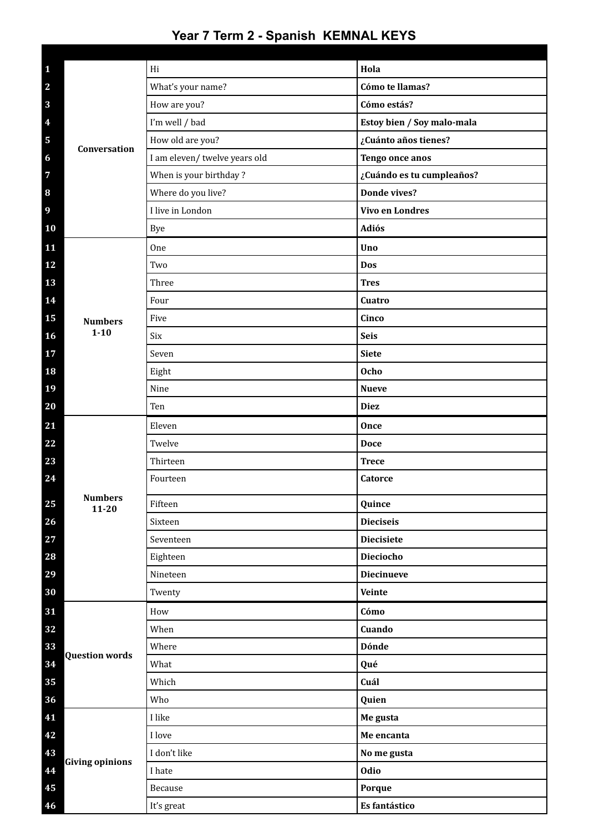| $\mathbf{1}$            |                             | Hi                            | Hola                       |
|-------------------------|-----------------------------|-------------------------------|----------------------------|
| $\overline{\mathbf{2}}$ | Conversation                | What's your name?             | Cómo te llamas?            |
| $\mathbf{3}$            |                             | How are you?                  | Cómo estás?                |
| $\overline{\mathbf{4}}$ |                             | I'm well / bad                | Estoy bien / Soy malo-mala |
| 5                       |                             | How old are you?              | ¿Cuánto años tienes?       |
| 6                       |                             | I am eleven/ twelve years old | Tengo once anos            |
| $\overline{7}$          |                             | When is your birthday?        | ¿Cuándo es tu cumpleaños?  |
| 8                       |                             | Where do you live?            | Donde vives?               |
| 9                       |                             | I live in London              | <b>Vivo en Londres</b>     |
| 10                      |                             | <b>Bye</b>                    | Adiós                      |
| 11                      |                             | <b>One</b>                    | Uno                        |
| 12                      |                             | Two                           | Dos                        |
| 13                      |                             | Three                         | <b>Tres</b>                |
| 14                      |                             | Four                          | Cuatro                     |
| 15                      | <b>Numbers</b><br>$1 - 10$  | Five                          | Cinco                      |
| 16                      |                             | Six                           | <b>Seis</b>                |
| 17                      |                             | Seven                         | <b>Siete</b>               |
| 18                      |                             | Eight                         | <b>Ocho</b>                |
| 19                      |                             | Nine                          | <b>Nueve</b>               |
| 20                      |                             | Ten                           | <b>Diez</b>                |
| 21                      |                             | Eleven                        | Once                       |
| 22                      |                             | Twelve                        | <b>Doce</b>                |
| 23                      |                             | Thirteen                      | <b>Trece</b>               |
| 24                      |                             | Fourteen                      | Catorce                    |
| 25                      | <b>Numbers</b><br>$11 - 20$ | Fifteen                       | Quince                     |
| 26                      |                             | Sixteen                       | <b>Dieciseis</b>           |
| 27                      |                             | Seventeen                     | <b>Diecisiete</b>          |
| 28                      |                             | Eighteen                      | Dieciocho                  |
| 29                      |                             | Nineteen                      | <b>Diecinueve</b>          |
| 30                      |                             | Twenty                        | Veinte                     |
| 31                      |                             | How                           | Cómo                       |
| 32                      |                             | When                          | Cuando                     |
| 33                      |                             | Where                         | <b>Dónde</b>               |
| 34                      | <b>Question words</b>       | What                          | Qué                        |
| 35                      |                             | Which                         | Cuál                       |
| 36                      |                             | Who                           | Quien                      |
| 41                      | <b>Giving opinions</b>      | I like                        | Me gusta                   |
| 42                      |                             | I love                        | Me encanta                 |
| 43                      |                             | I don't like                  | No me gusta                |
| 44                      |                             | I hate                        | Odio                       |
| 45                      |                             | Because                       | Porque                     |
| 46                      |                             | It's great                    | Es fantástico              |

## **Year 7 Term 2 - Spanish KEMNAL KEYS**